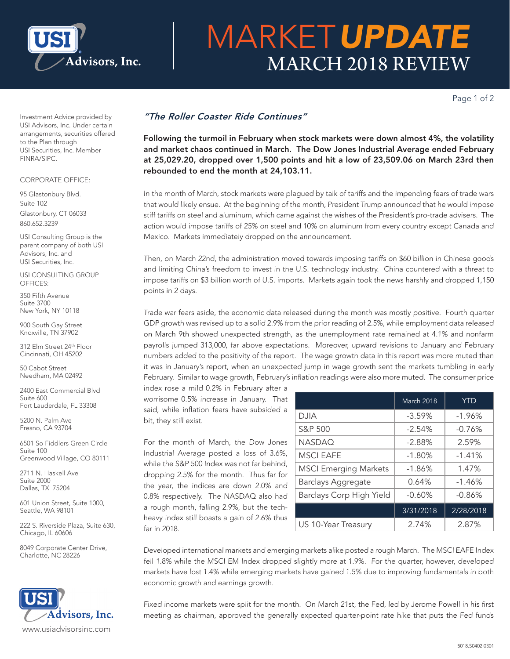

# MARKET*UPDATE* MARCH 2018 REVIEW

Page 1 of 2

Investment Advice provided by USI Advisors, Inc. Under certain arrangements, securities offered to the Plan through USI Securities, Inc. Member FINRA/SIPC.

### CORPORATE OFFICE:

95 Glastonbury Blvd. Suite 102 Glastonbury, CT 06033 860.652.3239

USI Consulting Group is the parent company of both USI Advisors, Inc. and USI Securities, Inc.

USI CONSULTING GROUP OFFICES:

350 Fifth Avenue Suite 3700 New York, NY 10118

900 South Gay Street Knoxville, TN 37902

312 Elm Street 24th Floor Cincinnati, OH 45202

50 Cabot Street Needham, MA 02492

2400 East Commercial Blvd Suite 600 Fort Lauderdale, FL 33308

5200 N. Palm Ave Fresno, CA 93704

6501 So Fiddlers Green Circle Suite 100 Greenwood Village, CO 80111

2711 N. Haskell Ave Suite 2000 Dallas, TX 75204

601 Union Street, Suite 1000, Seattle, WA 98101

222 S. Riverside Plaza, Suite 630, Chicago, IL 60606

8049 Corporate Center Drive, Charlotte, NC 28226



## *"The Roller Coaster Ride Continues"*

Following the turmoil in February when stock markets were down almost 4%, the volatility and market chaos continued in March. The Dow Jones Industrial Average ended February at 25,029.20, dropped over 1,500 points and hit a low of 23,509.06 on March 23rd then rebounded to end the month at 24,103.11.

In the month of March, stock markets were plagued by talk of tariffs and the impending fears of trade wars that would likely ensue. At the beginning of the month, President Trump announced that he would impose stiff tariffs on steel and aluminum, which came against the wishes of the President's pro-trade advisers. The action would impose tariffs of 25% on steel and 10% on aluminum from every country except Canada and Mexico. Markets immediately dropped on the announcement.

Then, on March 22nd, the administration moved towards imposing tariffs on \$60 billion in Chinese goods and limiting China's freedom to invest in the U.S. technology industry. China countered with a threat to impose tariffs on \$3 billion worth of U.S. imports. Markets again took the news harshly and dropped 1,150 points in 2 days.

Trade war fears aside, the economic data released during the month was mostly positive. Fourth quarter GDP growth was revised up to a solid 2.9% from the prior reading of 2.5%, while employment data released on March 9th showed unexpected strength, as the unemployment rate remained at 4.1% and nonfarm payrolls jumped 313,000, far above expectations. Moreover, upward revisions to January and February numbers added to the positivity of the report. The wage growth data in this report was more muted than it was in January's report, when an unexpected jump in wage growth sent the markets tumbling in early February. Similar to wage growth, February's inflation readings were also more muted. The consumer price

index rose a mild 0.2% in February after a worrisome 0.5% increase in January. That said, while inflation fears have subsided a bit, they still exist.

For the month of March, the Dow Jones Industrial Average posted a loss of 3.6%, while the S&P 500 Index was not far behind, dropping 2.5% for the month. Thus far for the year, the indices are down 2.0% and 0.8% respectively. The NASDAQ also had a rough month, falling 2.9%, but the techheavy index still boasts a gain of 2.6% thus far in 2018.

|                              | <b>March 2018</b> | <b>YTD</b> |
|------------------------------|-------------------|------------|
| <b>DJIA</b>                  | $-3.59%$          | $-1.96%$   |
| S&P 500                      | $-2.54%$          | $-0.76%$   |
| <b>NASDAQ</b>                | $-2.88%$          | 2.59%      |
| <b>MSCI EAFE</b>             | $-1.80%$          | $-1.41%$   |
| <b>MSCI Emerging Markets</b> | $-1.86%$          | 1.47%      |
| <b>Barclays Aggregate</b>    | 0.64%             | $-1.46%$   |
| Barclays Corp High Yield     | $-0.60%$          | $-0.86%$   |
|                              | 3/31/2018         | 2/28/2018  |
| US 10-Year Treasury          | 2.74%             | 2.87%      |

Developed international markets and emerging markets alike posted a rough March. The MSCI EAFE Index fell 1.8% while the MSCI EM Index dropped slightly more at 1.9%. For the quarter, however, developed markets have lost 1.4% while emerging markets have gained 1.5% due to improving fundamentals in both economic growth and earnings growth.

Fixed income markets were split for the month. On March 21st, the Fed, led by Jerome Powell in his first meeting as chairman, approved the generally expected quarter-point rate hike that puts the Fed funds